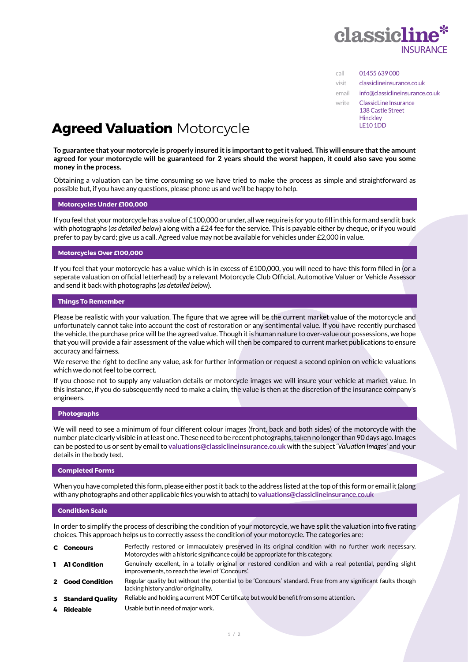

| call  | 01455 639 000                                                                    |
|-------|----------------------------------------------------------------------------------|
| visit | classiclineinsurance.co.uk                                                       |
| email | info@classiclineinsurance.co.uk                                                  |
| write | ClassicLine Insurance<br>138 Castle Street<br><b>Hinckley</b><br><b>LE10 1DD</b> |

# **Agreed Valuation** Motorcycle

**To guarantee that your motorcyle is properly insured it is important to get it valued. This will ensure that the amount agreed for your motorcycle will be guaranteed for 2 years should the worst happen, it could also save you some money in the process.**

Obtaining a valuation can be time consuming so we have tried to make the process as simple and straightforward as possible but, if you have any questions, please phone us and we'll be happy to help.

## **Motorcycles Under £100,000**

If you feel that your motorcycle has a value of £100,000 or under, all we require is for you to fill in this form and send it back with photographs (*as detailed below*) along with a £24 fee for the service. This is payable either by cheque, or if you would prefer to pay by card; give us a call. Agreed value may not be available for vehicles under £2,000 in value.

#### **Motorcycles Over £100,000**

If you feel that your motorcycle has a value which is in excess of £100,000, you will need to have this form filled in (or a seperate valuation on official letterhead) by a relevant Motorcycle Club Official, Automotive Valuer or Vehicle Assessor and send it back with photographs (*as detailed below*).

#### **Things To Remember**

Please be realistic with your valuation. The figure that we agree will be the current market value of the motorcycle and unfortunately cannot take into account the cost of restoration or any sentimental value. If you have recently purchased the vehicle, the purchase price will be the agreed value. Though it is human nature to over-value our possessions, we hope that you will provide a fair assessment of the value which will then be compared to current market publications to ensure accuracy and fairness.

We reserve the right to decline any value, ask for further information or request a second opinion on vehicle valuations which we do not feel to be correct.

If you choose not to supply any valuation details or motorcycle images we will insure your vehicle at market value. In this instance, if you do subsequently need to make a claim, the value is then at the discretion of the insurance company's engineers.

#### **Photographs**

We will need to see a minimum of four different colour images (front, back and both sides) of the motorcycle with the number plate clearly visible in at least one. These need to be recent photographs, taken no longer than 90 days ago. Images can be posted to us or sent by email to **valuations@classiclineinsurance.co.uk** with the subject '*Valuation Images*' and your details in the body text.

## **Completed Forms**

When you have completed this form, please either post it back to the address listed at the top of this form or email it (along with any photographs and other applicable files you wish to attach) to **valuations@classiclineinsurance.co.uk**

## **Condition Scale**

In order to simplify the process of describing the condition of your motorcycle, we have split the valuation into five rating choices. This approach helps us to correctly assess the condition of your motorcycle. The categories are:

- **C Concours** Perfectly restored or immaculately preserved in its original condition with no further work necessary. Motorcycles with a historic significance could be appropriate for this category. **1 A1 Condition** Genuinely excellent, in a totally original or restored condition and with a real potential, pending slight improvements, to reach the level of 'Concours'. **2 Good Condition** Regular quality but without the potential to be 'Concours' standard. Free from any significant faults though lacking history and/or originality. **3 Standard Quality** Reliable and holding a current MOT Certificate but would benefit from some attention. **4 Rideable** Usable but in need of major work.
	-